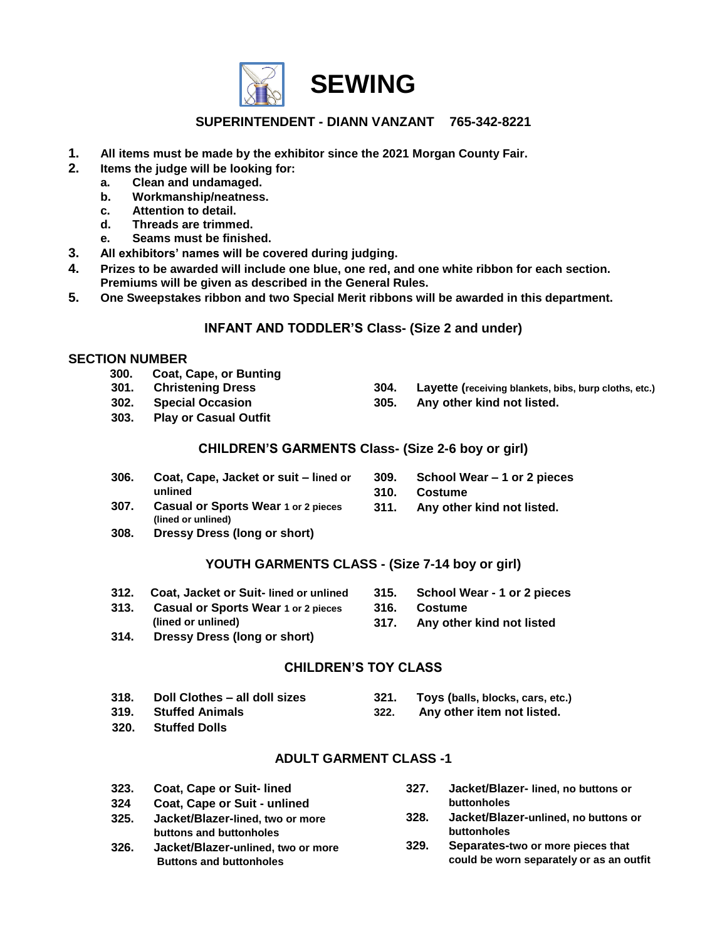

### **SUPERINTENDENT - DIANN VANZANT 765-342-8221**

- **1. All items must be made by the exhibitor since the 2021 Morgan County Fair.**
- **2. Items the judge will be looking for:**
	- **a. Clean and undamaged.**
	- **b. Workmanship/neatness.**
	- **c. Attention to detail.**
	- **d. Threads are trimmed.**
	- **e. Seams must be finished.**
- **3. All exhibitors' names will be covered during judging.**
- **4. Prizes to be awarded will include one blue, one red, and one white ribbon for each section. Premiums will be given as described in the General Rules.**
- **5. One Sweepstakes ribbon and two Special Merit ribbons will be awarded in this department.**

#### **INFANT AND TODDLER'S Class- (Size 2 and under)**

#### **SECTION NUMBER**

- **300. Coat, Cape, or Bunting**
- **301. Christening Dress**
- **302. Special Occasion**
- **303. Play or Casual Outfit**

**(lined or unlined)**

- **304. Layette (receiving blankets, bibs, burp cloths, etc.)**
- **305. Any other kind not listed.**

#### **CHILDREN'S GARMENTS Class- (Size 2-6 boy or girl)**

- **306. Coat, Cape, Jacket or suit – lined or unlined**
- **309. School Wear – 1 or 2 pieces**
- **310. Costume**
- **307. Casual or Sports Wear 1 or 2 pieces 311. Any other kind not listed.**
- **308. Dressy Dress (long or short)**

#### **YOUTH GARMENTS CLASS - (Size 7-14 boy or girl)**

- **312. Coat, Jacket or Suit- lined or unlined**
- **313. Casual or Sports Wear 1 or 2 pieces (lined or unlined)**
- **314. Dressy Dress (long or short)**
- **315. School Wear - 1 or 2 pieces**
- **316. Costume**
- **317. Any other kind not listed**

#### **CHILDREN'S TOY CLASS**

- **318. Doll Clothes – all doll sizes 319. Stuffed Animals 321. Toys (balls, blocks, cars, etc.) 322. Any other item not listed.**
- **320. Stuffed Dolls**
- 

## **ADULT GARMENT CLASS -1**

- **323. Coat, Cape or Suit- lined**
- **324 Coat, Cape or Suit - unlined**
- **325. Jacket/Blazer-lined, two or more buttons and buttonholes**
- **326. Jacket/Blazer-unlined, two or more Buttons and buttonholes**
- **327. Jacket/Blazer- lined, no buttons or buttonholes**
- **328. Jacket/Blazer-unlined, no buttons or buttonholes**
- **329. Separates-two or more pieces that could be worn separately or as an outfit**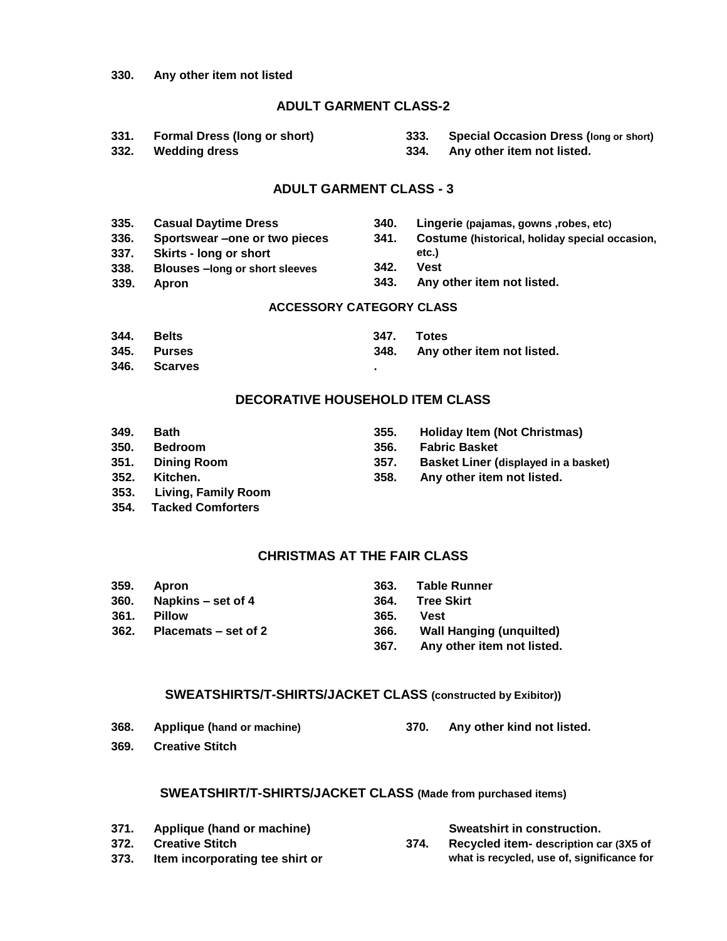#### **330. Any other item not listed**

#### **ADULT GARMENT CLASS-2**

- **331. Formal Dress (long or short)**
- **333. Special Occasion Dress (long or short)**
- **334. Any other item not listed.**

**340. Lingerie (pajamas, gowns ,robes, etc)**

#### **ADULT GARMENT CLASS - 3**

- **335. Casual Daytime Dress**
- **336. Sportswear –one or two pieces**
- **337. Skirts - long or short**
- **etc.)**
- **338. Blouses –long or short sleeves**
- **339. Apron**

**332. Wedding dress**

- **342. Vest**
- 

#### **ACCESSORY CATEGORY CLASS**

- **344. Belts**
- **345. Purses**
- **346. Scarves**

### **DECORATIVE HOUSEHOLD ITEM CLASS**

**.**

- **349. Bath**
- **350. Bedroom**
- **351. Dining Room**
- **352. Kitchen.**
- **353. Living, Family Room**
- **354. Tacked Comforters**

#### **CHRISTMAS AT THE FAIR CLASS**

| 359. | <b>Apron</b>         | 363. | Table Runner                    |
|------|----------------------|------|---------------------------------|
| 360. | Napkins – set of 4   | 364. | Tree Skirt                      |
| 361. | <b>Pillow</b>        | 365. | Vest                            |
| 362. | Placemats – set of 2 | 366. | <b>Wall Hanging (unquilted)</b> |
|      |                      | 367. | Any other item not listed.      |

#### **SWEATSHIRTS/T-SHIRTS/JACKET CLASS (constructed by Exibitor))**

- **368. Applique (hand or machine) 370. Any other kind not listed.**
- **369. Creative Stitch**

#### **SWEATSHIRT/T-SHIRTS/JACKET CLASS (Made from purchased items)**

- **371. Applique (hand or machine)**
- **372. Creative Stitch**
- **373. Item incorporating tee shirt or**
- **Sweatshirt in construction.**
- **374. Recycled item- description car (3X5 of what is recycled, use of, significance for**
- **341. Costume (historical, holiday special occasion,**
- 
- **343. Any other item not listed.**

- **347. Totes**
	- **348. Any other item not listed.**
	-
	- **355. Holiday Item (Not Christmas)**
		- **356. Fabric Basket**
		- **357. Basket Liner (displayed in a basket)**
		- **358. Any other item not listed.**